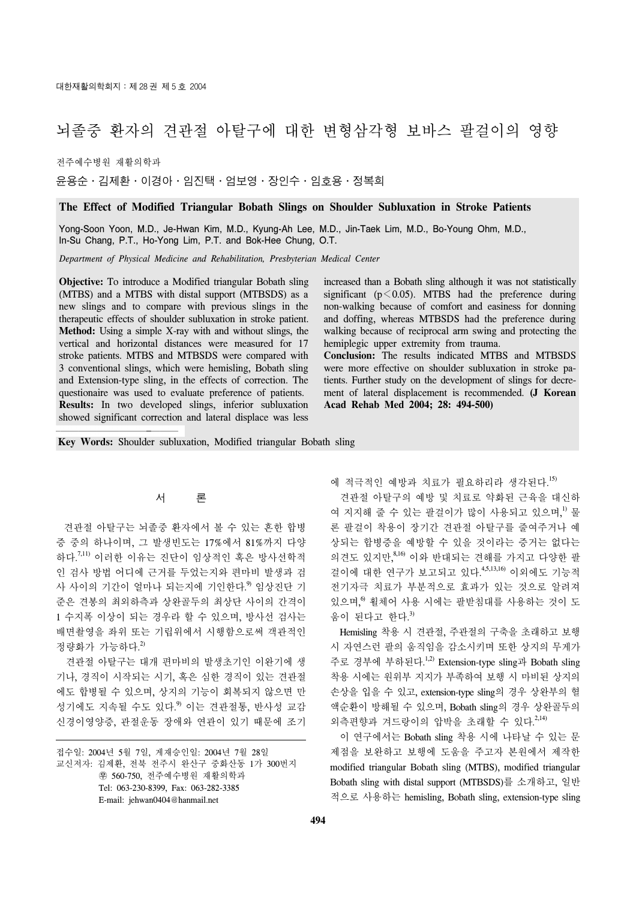# 뇌졸중 환자의 견관절 아탈구에 대한 변형삼각형 보바스 팔걸이의 영향

전주예수병원 재활의학과

윤용순․김제환․이경아․임진택․엄보영․장인수․임호용․정복희

## **The Effect of Modified Triangular Bobath Slings on Shoulder Subluxation in Stroke Patients**

Yong-Soon Yoon, M.D., Je-Hwan Kim, M.D., Kyung-Ah Lee, M.D., Jin-Taek Lim, M.D., Bo-Young Ohm, M.D., In-Su Chang, P.T., Ho-Yong Lim, P.T. and Bok-Hee Chung, O.T.

*Department of Physical Medicine and Rehabilitation, Presbyterian Medical Center*

**Objective:** To introduce a Modified triangular Bobath sling (MTBS) and a MTBS with distal support (MTBSDS) as a new slings and to compare with previous slings in the therapeutic effects of shoulder subluxation in stroke patient. **Method:** Using a simple X-ray with and without slings, the vertical and horizontal distances were measured for 17 stroke patients. MTBS and MTBSDS were compared with 3 conventional slings, which were hemisling, Bobath sling and Extension-type sling, in the effects of correction. The questionaire was used to evaluate preference of patients. **Results:** In two developed slings, inferior subluxation showed significant correction and lateral displace was less

increased than a Bobath sling although it was not statistically significant ( $p \le 0.05$ ). MTBS had the preference during non-walking because of comfort and easiness for donning and doffing, whereas MTBSDS had the preference during walking because of reciprocal arm swing and protecting the hemiplegic upper extremity from trauma.

**Conclusion:** The results indicated MTBS and MTBSDS were more effective on shoulder subluxation in stroke patients. Further study on the development of slings for decrement of lateral displacement is recommended. **(J Korean Acad Rehab Med 2004; 28: 494-500)**

**Key Words:** Shoulder subluxation, Modified triangular Bobath sling

# 서 론

 견관절 아탈구는 뇌졸중 환자에서 볼 수 있는 흔한 합병 증 중의 하나이며, 그 발생빈도는 17%에서 81%까지 다양 하다.<sup>7,11)</sup> 이러한 이유는 진단이 임상적인 혹은 방사선학적 인 검사 방법 어디에 근거를 두었는지와 편마비 발생과 검 사 사이의 기간이 얼마나 되는지에 기인한다.<sup>9</sup> 임상진단 기 준은 견봉의 최외하측과 상완골두의 최상단 사이의 간격이 1 수지폭 이상이 되는 경우라 할 수 있으며, 방사선 검사는 배면촬영을 좌위 또는 기립위에서 시행함으로써 객관적인 정량화가 가능하다. 2)

 견관절 아탈구는 대개 편마비의 발생초기인 이완기에 생 기나, 경직이 시작되는 시기, 혹은 심한 경직이 있는 견관절 에도 합병될 수 있으며, 상지의 기능이 회복되지 않으면 만 성기에도 지속될 수도 있다.<sup>9)</sup> 이는 견관절통, 반사성 교감 신경이영양증, 관절운동 장애와 연관이 있기 때문에 조기 에 적극적인 예방과 치료가 필요하리라 생각된다. 15)

 견관절 아탈구의 예방 및 치료로 약화된 근육을 대신하 여 지지해 줄 수 있는 팔걸이가 많이 사용되고 있으며,<sup>1)</sup> 물 론 팔걸이 착용이 장기간 견관절 아탈구를 줄여주거나 예 상되는 합병증을 예방할 수 있을 것이라는 증거는 없다는 의견도 있지만,<sup>8,16)</sup> 이와 반대되는 견해를 가지고 다양한 팔 걸이에 대한 연구가 보고되고 있다. 4,5,13,16) 이외에도 기능적 전기자극 치료가 부분적으로 효과가 있는 것으로 알려져 있으며,<sup>9</sup> 휠체어 사용 시에는 팔받침대를 사용하는 것이 도 움이 된다고 한다. 3)

 Hemisling 착용 시 견관절, 주관절의 구축을 초래하고 보행 시 자연스런 팔의 움직임을 감소시키며 또한 상지의 무게가 주로 경부에 부하된다.<sup>1,2)</sup> Extension-type sling과 Bobath sling 착용 시에는 원위부 지지가 부족하여 보행 시 마비된 상지의 손상을 입을 수 있고, extension-type sling의 경우 상완부의 혈 액순환이 방해될 수 있으며, Bobath sling의 경우 상완골두의 외측편향과 겨드랑이의 압박을 초래할 수 있다.<sup>2,14)</sup>

 이 연구에서는 Bobath sling 착용 시에 나타날 수 있는 문 제점을 보완하고 보행에 도움을 주고자 본원에서 제작한 modified triangular Bobath sling (MTBS), modified triangular Bobath sling with distal support (MTBSDS)를 소개하고, 일반 적으로 사용하는 hemisling, Bobath sling, extension-type sling

접수일: 2004년 5월 7일, 게재승인일: 2004년 7월 28일 교신저자: 김제환, 전북 전주시 완산구 중화산동 1가 300번지 ꂕ 560-750, 전주예수병원 재활의학과 Tel: 063-230-8399, Fax: 063-282-3385 E-mail: jehwan0404@hanmail.net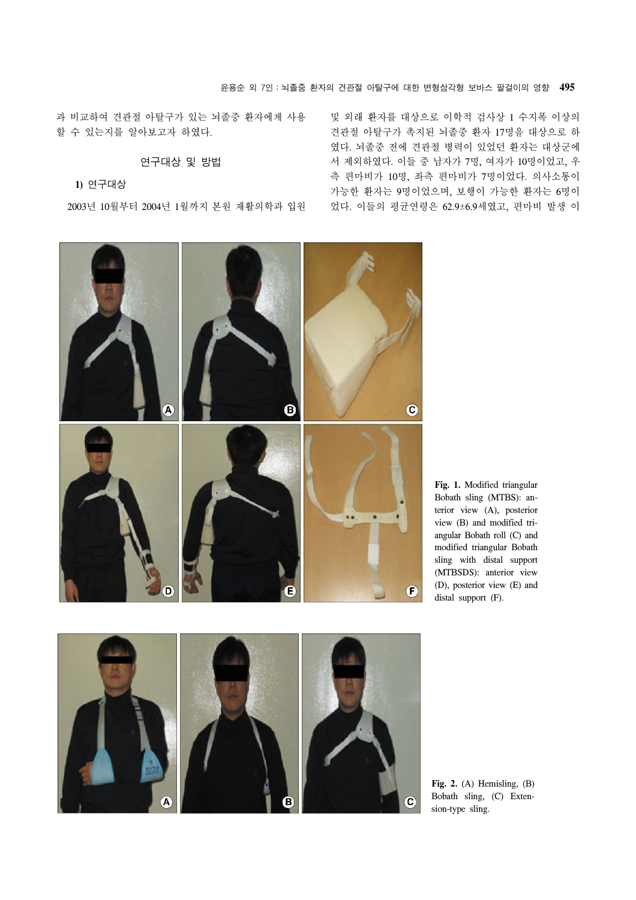과 비교하여 견관절 아탈구가 있는 뇌졸중 환자에게 사용 할 수 있는지를 알아보고자 하였다.

# 연구대상 및 방법

# **1)** 연구대상

2003년 10월부터 2004년 1월까지 본원 재활의학과 입원

및 외래 환자를 대상으로 이학적 검사상 1 수지폭 이상의 견관절 아탈구가 촉지된 뇌졸중 환자 17명을 대상으로 하 였다. 뇌졸중 전에 견관절 병력이 있었던 환자는 대상군에 서 제외하였다. 이들 중 남자가 7명, 여자가 10명이었고, 우 측 편마비가 10명, 좌측 편마비가 7명이었다. 의사소통이 가능한 환자는 9명이었으며, 보행이 가능한 환자는 6명이 었다. 이들의 평균연령은 62.9±6.9세였고, 편마비 발생 이



**Fig. 1.** Modified triangular Bobath sling (MTBS): anterior view (A), posterior view (B) and modified triangular Bobath roll (C) and modified triangular Bobath sling with distal support (MTBSDS): anterior view (D), posterior view (E) and distal support (F).



**Fig. 2.** (A) Hemisling, (B) Bobath sling, (C) Extension-type sling.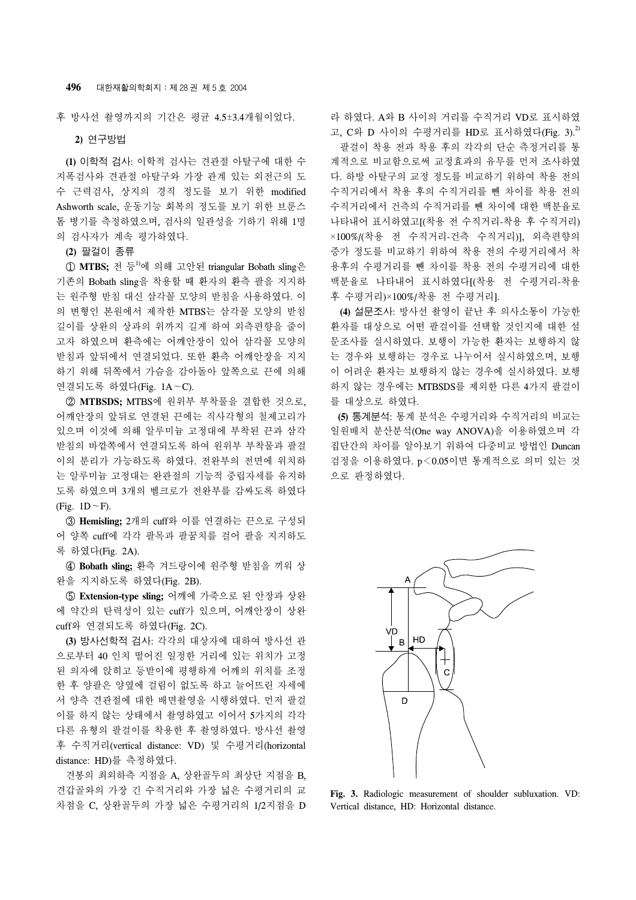후 방사선 촬영까지의 기간은 평균 4.5±3.4개월이었다.

**2)** 연구방법

 **(1)** 이학적 검사: 이학적 검사는 견관절 아탈구에 대한 수 지폭검사와 견관절 아탈구와 가장 관계 있는 외전근의 도 수 근력검사, 상지의 경직 정도를 보기 위한 modified Ashworth scale, 운동기능 회복의 정도를 보기 위한 브룬스 톰 병기를 측정하였으며, 검사의 일관성을 기하기 위해 1명 의 검사자가 계속 평가하였다.

**(2)** 팔걸이 종류

 ① **MTBS;** 전 등1)에 의해 고안된 triangular Bobath sling은 기존의 Bobath sling을 착용할 때 환자의 환측 팔을 지지하 는 원주형 받침 대신 삼각꼴 모양의 받침을 사용하였다. 이 의 변형인 본원에서 제작한 MTBS는 삼각꼴 모양의 받침 길이를 상완의 상과의 위까지 길게 하여 외측편향을 줄이 고자 하였으며 환측에는 어깨안장이 있어 삼각꼴 모양의 받침과 앞뒤에서 연결되었다. 또한 환측 어깨안장을 지지 하기 위해 뒤쪽에서 가슴을 감아돌아 앞쪽으로 끈에 의해 연결되도록 하였다(Fig. 1A∼C).

 ② **MTBSDS;** MTBS에 원위부 부착물을 결합한 것으로, 어깨안장의 앞뒤로 연결된 끈에는 직사각형의 철제고리가 있으며 이것에 의해 알루미늄 고정대에 부착된 끈과 삼각 받침의 바깥쪽에서 연결되도록 하여 원위부 부착물과 팔걸 이의 분리가 가능하도록 하였다. 전완부의 전면에 위치하 는 알루미늄 고정대는 완관절의 기능적 중립자세를 유지하 도록 하였으며 3개의 벨크로가 전완부를 감싸도록 하였다 (Fig. 1D∼F).

 ③ **Hemisling;** 2개의 cuff와 이를 연결하는 끈으로 구성되 어 양쪽 cuff에 각각 팔목과 팔꿈치를 걸어 팔을 지지하도 록 하였다(Fig. 2A).

④ **Bobath sling;** 환측 겨드랑이에 원주형 받침을 끼워 상 완을 지지하도록 하였다(Fig. 2B).

⑤ **Extension-type sling;** 어깨에 가죽으로 된 안장과 상완 에 약간의 탄력성이 있는 cuff가 있으며, 어깨안장이 상완 cuff와 연결되도록 하였다(Fig. 2C).

 **(3)** 방사선학적 검사: 각각의 대상자에 대하여 방사선 관 으로부터 40 인치 떨어진 일정한 거리에 있는 위치가 고정 된 의자에 앉히고 등받이에 평행하게 어깨의 위치를 조정 한 후 양팔은 양옆에 걸림이 없도록 하고 늘어뜨린 자세에 서 양측 견관절에 대한 배면촬영을 시행하였다. 먼저 팔걸 이를 하지 않는 상태에서 촬영하였고 이어서 5가지의 각각 다른 유형의 팔걸이를 착용한 후 촬영하였다. 방사선 촬영 후 수직거리(vertical distance: VD) 및 수평거리(horizontal distance: HD)를 측정하였다.

 견봉의 최외하측 지점을 A, 상완골두의 최상단 지점을 B, 견갑골와의 가장 긴 수직거리와 가장 넓은 수평거리의 교 차점을 C, 상완골두의 가장 넓은 수평거리의 1/2지점을 D

라 하였다. A와 B 사이의 거리를 수직거리 VD로 표시하였 고,  $C$ 와 D 사이의 수평거리를 HD로 표시하였다(Fig. 3). $^{2}$  팔걸이 착용 전과 착용 후의 각각의 단순 측정거리를 통 계적으로 비교함으로써 교정효과의 유무를 먼저 조사하였 다. 하방 아탈구의 교정 정도를 비교하기 위하여 착용 전의 수직거리에서 착용 후의 수직거리를 뺀 차이를 착용 전의 수직거리에서 건측의 수직거리를 뺀 차이에 대한 백분율로 나타내어 표시하였고[(착용 전 수직거리-착용 후 수직거리) ×100%/(착용 전 수직거리-건측 수직거리)], 외측편향의 증가 정도를 비교하기 위하여 착용 전의 수평거리에서 착 용후의 수평거리를 뺀 차이를 착용 전의 수평거리에 대한 백분율로 나타내어 표시하였다[(착용 전 수평거리-착용 후 수평거리)×100%/착용 전 수평거리].

 **(4)** 설문조사: 방사선 촬영이 끝난 후 의사소통이 가능한 환자를 대상으로 어떤 팔걸이를 선택할 것인지에 대한 설 문조사를 실시하였다. 보행이 가능한 환자는 보행하지 않 는 경우와 보행하는 경우로 나누어서 실시하였으며, 보행 이 어려운 환자는 보행하지 않는 경우에 실시하였다. 보행 하지 않는 경우에는 MTBSDS를 제외한 다른 4가지 팔걸이 를 대상으로 하였다.

 **(5)** 통계분석: 통계 분석은 수평거리와 수직거리의 비교는 일원배치 분산분석(One way ANOVA)을 이용하였으며 각 집단간의 차이를 알아보기 위하여 다중비교 방법인 Duncan 검정을 이용하였다. p<0.05이면 통계적으로 의미 있는 것 으로 판정하였다.



**Fig. 3.** Radiologic measurement of shoulder subluxation. VD: Vertical distance, HD: Horizontal distance.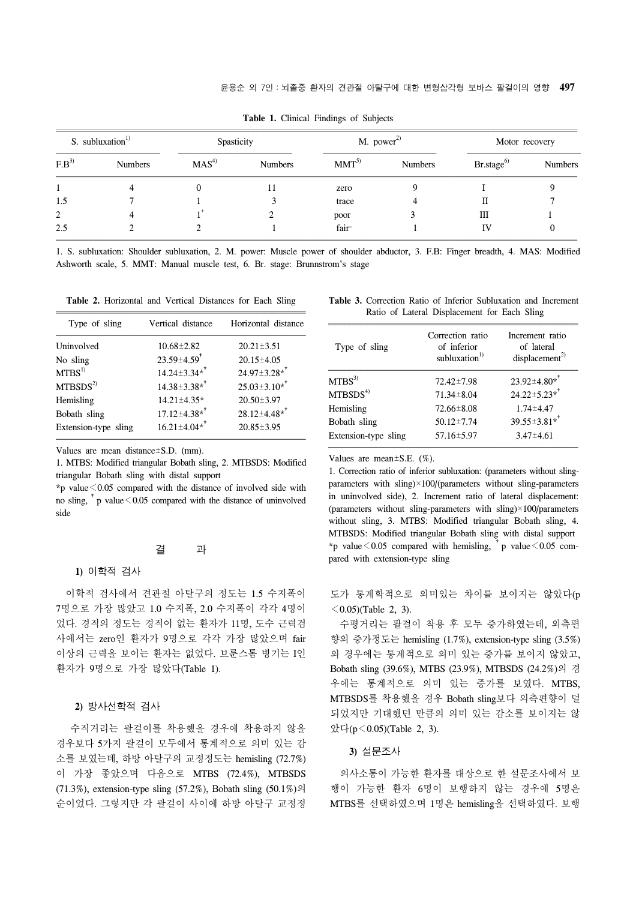| S. subluxation $^{1)}$ |                | Spasticity       |                | $M.$ power <sup>2)</sup> |                | Motor recovery   |                |
|------------------------|----------------|------------------|----------------|--------------------------|----------------|------------------|----------------|
| $F.B^{3)}$             | <b>Numbers</b> | MAS <sup>4</sup> | <b>Numbers</b> | $MMT^{5}$                | <b>Numbers</b> | $Br.\,stage^{6}$ | <b>Numbers</b> |
|                        |                |                  |                | zero                     |                |                  |                |
| 1.5                    |                |                  |                | trace                    |                |                  |                |
| ↑                      |                |                  |                | poor                     |                | Ш                |                |
| 2.5                    |                |                  |                | fair <sup>-</sup>        |                |                  |                |

**Table 1.** Clinical Findings of Subjects

1. S. subluxation: Shoulder subluxation, 2. M. power: Muscle power of shoulder abductor, 3. F.B: Finger breadth, 4. MAS: Modified Ashworth scale, 5. MMT: Manual muscle test, 6. Br. stage: Brunnstrom's stage

**Table 2.** Horizontal and Vertical Distances for Each Sling

| Type of sling        | Vertical distance              | Horizontal distance            |  |  |
|----------------------|--------------------------------|--------------------------------|--|--|
| Uninvolved           | $10.68 \pm 2.82$               | $20.21 \pm 3.51$               |  |  |
| No sling             | $23.59 \pm 4.59$ <sup>*</sup>  | $20.15 \pm 4.05$               |  |  |
| MTBS <sup>1</sup>    | $14.24 \pm 3.34*$ <sup>†</sup> | $24.97 \pm 3.28$ *             |  |  |
| MTBSDS <sup>2</sup>  | $14.38 \pm 3.38*^{\dagger}$    | $25.03 \pm 3.10*$ <sup>†</sup> |  |  |
| Hemisling            | 14.21±4.35*                    | $20.50 \pm 3.97$               |  |  |
| Bobath sling         | $17.12 \pm 4.38*^{\dagger}$    | $28.12 \pm 4.48*^{\dagger}$    |  |  |
| Extension-type sling | $16.21 \pm 4.04*$ <sup>*</sup> | $20.85 \pm 3.95$               |  |  |

Values are mean distance±S.D. (mm).

1. MTBS: Modified triangular Bobath sling, 2. MTBSDS: Modified triangular Bobath sling with distal support

\*p value  $\leq$  0.05 compared with the distance of involved side with no sling,  $\mu$  value  $< 0.05$  compared with the distance of uninvolved side

### 결 과

#### **1)** 이학적 검사

 이학적 검사에서 견관절 아탈구의 정도는 1.5 수지폭이 7명으로 가장 많았고 1.0 수지폭, 2.0 수지폭이 각각 4명이 었다. 경직의 정도는 경직이 없는 환자가 11명, 도수 근력검 사에서는 zero인 환자가 9명으로 각각 가장 많았으며 fair 이상의 근력을 보이는 환자는 없었다. 브룬스톰 병기는 I인 환자가 9명으로 가장 많았다(Table 1).

## **2)** 방사선학적 검사

 수직거리는 팔걸이를 착용했을 경우에 착용하지 않을 경우보다 5가지 팔걸이 모두에서 통계적으로 의미 있는 감 소를 보였는데, 하방 아탈구의 교정정도는 hemisling (72.7%) 이 가장 좋았으며 다음으로 MTBS (72.4%), MTBSDS (71.3%), extension-type sling (57.2%), Bobath sling (50.1%)의 순이었다. 그렇지만 각 팔걸이 사이에 하방 아탈구 교정정

|  | <b>Table 3.</b> Correction Ratio of Inferior Subluxation and Increment |  |  |  |
|--|------------------------------------------------------------------------|--|--|--|
|  | Ratio of Lateral Displacement for Each Sling                           |  |  |  |

| Type of sling        | Correction ratio<br>of inferior<br>subluxation <sup>1)</sup> | Increment ratio<br>of lateral<br>displacement <sup>2</sup> |  |  |
|----------------------|--------------------------------------------------------------|------------------------------------------------------------|--|--|
| MTBS <sup>3</sup>    | 72.42±7.98                                                   | $23.92 \pm 4.80 \times$                                    |  |  |
| MTBSDS <sup>4</sup>  | $71.34 \pm 8.04$                                             | $24.22 \pm 5.23*^{\dagger}$                                |  |  |
| Hemisling            | $72.66 \pm 8.08$                                             | $1.74 \pm 4.47$                                            |  |  |
| Bobath sling         | $50.12 \pm 7.74$                                             | $39.55 \pm 3.81 \times +$                                  |  |  |
| Extension-type sling | $57.16 \pm 5.97$                                             | $3.47 \pm 4.61$                                            |  |  |

Values are mean±S.E. (%).

1. Correction ratio of inferior subluxation: (parameters without slingparameters with  $\sinh(x) \times 100$ /(parameters without sling-parameters in uninvolved side), 2. Increment ratio of lateral displacement: (parameters without sling-parameters with sling)×100/parameters without sling, 3. MTBS: Modified triangular Bobath sling, 4. MTBSDS: Modified triangular Bobath sling with distal support \*p value  $\leq 0.05$  compared with hemisling,  $\bar{p}$  value  $\leq 0.05$  compared with extension-type sling

도가 통계학적으로 의미있는 차이를 보이지는 않았다(p  $\leq$  0.05)(Table 2, 3).

 수평거리는 팔걸이 착용 후 모두 증가하였는데, 외측편 향의 증가정도는 hemisling (1.7%), extension-type sling (3.5%) 의 경우에는 통계적으로 의미 있는 증가를 보이지 않았고, Bobath sling (39.6%), MTBS (23.9%), MTBSDS (24.2%)의 경 우에는 통계적으로 의미 있는 증가를 보였다. MTBS, MTBSDS를 착용했을 경우 Bobath sling보다 외측편향이 덜 되었지만 기대했던 만큼의 의미 있는 감소를 보이지는 않 았다(p<0.05)(Table 2, 3).

#### **3)** 설문조사

 의사소통이 가능한 환자를 대상으로 한 설문조사에서 보 행이 가능한 환자 6명이 보행하지 않는 경우에 5명은 MTBS를 선택하였으며 1명은 hemisling을 선택하였다. 보행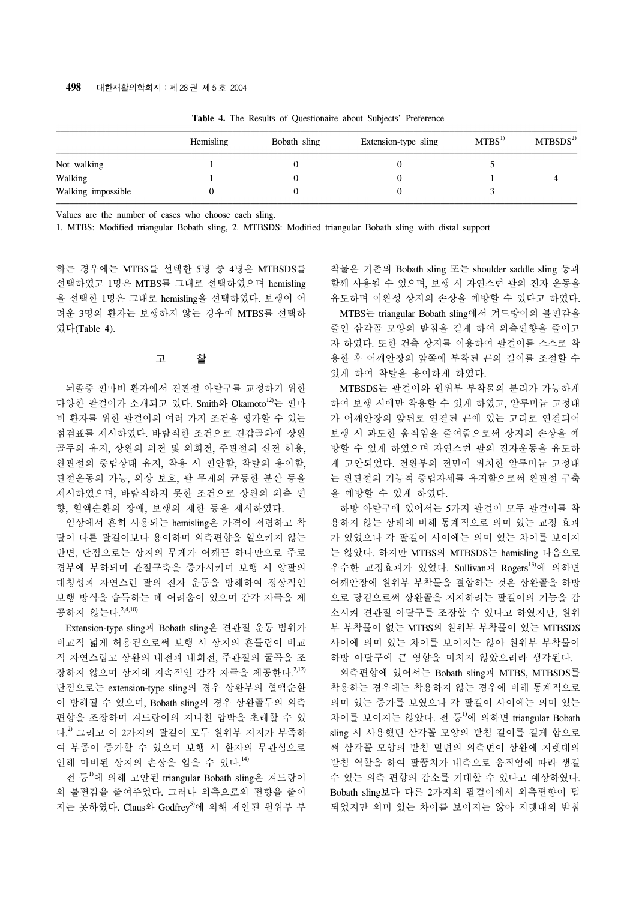|                    | Hemisling | Bobath sling | Extension-type sling | MTBS <sup>1</sup> | MTBSDS <sup>2</sup> |
|--------------------|-----------|--------------|----------------------|-------------------|---------------------|
| Not walking        |           |              |                      |                   |                     |
| Walking            |           |              |                      |                   |                     |
| Walking impossible |           |              |                      |                   |                     |

**Table 4.** The Results of Questionaire about Subjects' Preference

Values are the number of cases who choose each sling.

1. MTBS: Modified triangular Bobath sling, 2. MTBSDS: Modified triangular Bobath sling with distal support

하는 경우에는 MTBS를 선택한 5명 중 4명은 MTBSDS를 선택하였고 1명은 MTBS를 그대로 선택하였으며 hemisling 을 선택한 1명은 그대로 hemisling을 선택하였다. 보행이 어 려운 3명의 환자는 보행하지 않는 경우에 MTBS를 선택하 였다(Table 4).

## 고 찰

 뇌졸중 편마비 환자에서 견관절 아탈구를 교정하기 위한 다양한 괄걸이가 소개되고 있다. Smith와 Okamoto<sup>12)</sup>는 편마 비 환자를 위한 팔걸이의 여러 가지 조건을 평가할 수 있는 점검표를 제시하였다. 바람직한 조건으로 견갑골와에 상완 골두의 유지, 상완의 외전 및 외회전, 주관절의 신전 허용, 완관절의 중립상태 유지, 착용 시 편안함, 착탈의 용이함, 관절운동의 가능, 외상 보호, 팔 무게의 균등한 분산 등을 제시하였으며, 바람직하지 못한 조건으로 상완의 외측 편 향, 혈액순환의 장애, 보행의 제한 등을 제시하였다.

 임상에서 흔히 사용되는 hemisling은 가격이 저렴하고 착 탈이 다른 팔걸이보다 용이하며 외측편향을 일으키지 않는 반면, 단점으로는 상지의 무게가 어깨끈 하나만으로 주로 경부에 부하되며 관절구축을 증가시키며 보행 시 양팔의 대칭성과 자연스런 팔의 진자 운동을 방해하여 정상적인 보행 방식을 습득하는 데 어려움이 있으며 감각 자극을 제 공하지 않는다. 2,4,10)

 Extension-type sling과 Bobath sling은 견관절 운동 범위가 비교적 넓게 허용됨으로써 보행 시 상지의 흔들림이 비교 적 자연스럽고 상완의 내전과 내회전, 주관절의 굴곡을 조 장하지 않으며 상지에 지속적인 감각 자극을 제공한다.<sup>2,12)</sup> 단점으로는 extension-type sling의 경우 상완부의 혈액순환 이 방해될 수 있으며, Bobath sling의 경우 상완골두의 외측 편향을 조장하며 겨드랑이의 지나친 압박을 초래할 수 있 다. 2) 그리고 이 2가지의 팔걸이 모두 원위부 지지가 부족하 여 부종이 증가할 수 있으며 보행 시 환자의 무관심으로 인해 마비된 상지의 손상을 입을 수 있다. 14)

 전 등1)에 의해 고안된 triangular Bobath sling은 겨드랑이 의 불편감을 줄여주었다. 그러나 외측으로의 편향을 줄이 지는 못하였다. Claus와 Godfrey<sup>5)</sup>에 의해 제안된 원위부 부

착물은 기존의 Bobath sling 또는 shoulder saddle sling 등과 함께 사용될 수 있으며, 보행 시 자연스런 팔의 진자 운동을 유도하며 이완성 상지의 손상을 예방할 수 있다고 하였다.

 MTBS는 triangular Bobath sling에서 겨드랑이의 불편감을 줄인 삼각꼴 모양의 받침을 길게 하여 외측편향을 줄이고 자 하였다. 또한 건측 상지를 이용하여 팔걸이를 스스로 착 용한 후 어깨안장의 앞쪽에 부착된 끈의 길이를 조절할 수 있게 하여 착탈을 용이하게 하였다.

 MTBSDS는 팔걸이와 원위부 부착물의 분리가 가능하게 하여 보행 시에만 착용할 수 있게 하였고, 알루미늄 고정대 가 어깨안장의 앞뒤로 연결된 끈에 있는 고리로 연결되어 보행 시 과도한 움직임을 줄여줌으로써 상지의 손상을 예 방할 수 있게 하였으며 자연스런 팔의 진자운동을 유도하 게 고안되었다. 전완부의 전면에 위치한 알루미늄 고정대 는 완관절의 기능적 중립자세를 유지함으로써 완관절 구축 을 예방할 수 있게 하였다.

 하방 아탈구에 있어서는 5가지 팔걸이 모두 팔걸이를 착 용하지 않는 상태에 비해 통계적으로 의미 있는 교정 효과 가 있었으나 각 팔걸이 사이에는 의미 있는 차이를 보이지 는 않았다. 하지만 MTBS와 MTBSDS는 hemisling 다음으로 우수한 교정효과가 있었다. Sullivan과 Rogers<sup>13)</sup>에 의하면 어깨안장에 원위부 부착물을 결합하는 것은 상완골을 하방 으로 당김으로써 상완골을 지지하려는 팔걸이의 기능을 감 소시켜 견관절 아탈구를 조장할 수 있다고 하였지만, 원위 부 부착물이 없는 MTBS와 원위부 부착물이 있는 MTBSDS 사이에 의미 있는 차이를 보이지는 않아 원위부 부착물이 하방 아탈구에 큰 영향을 미치지 않았으리라 생각된다.

 외측편향에 있어서는 Bobath sling과 MTBS, MTBSDS를 착용하는 경우에는 착용하지 않는 경우에 비해 통계적으로 의미 있는 증가를 보였으나 각 팔걸이 사이에는 의미 있는 차이를 보이지는 않았다. 전 등<sup>1)</sup>에 의하면 triangular Bobath sling 시 사용했던 삼각꼴 모양의 받침 길이를 길게 함으로 써 삼각꼴 모양의 받침 밑변의 외측변이 상완에 지렛대의 받침 역할을 하여 팔꿈치가 내측으로 움직임에 따라 생길 수 있는 외측 편향의 감소를 기대할 수 있다고 예상하였다. Bobath sling보다 다른 2가지의 팔걸이에서 외측편향이 덜 되었지만 의미 있는 차이를 보이지는 않아 지렛대의 받침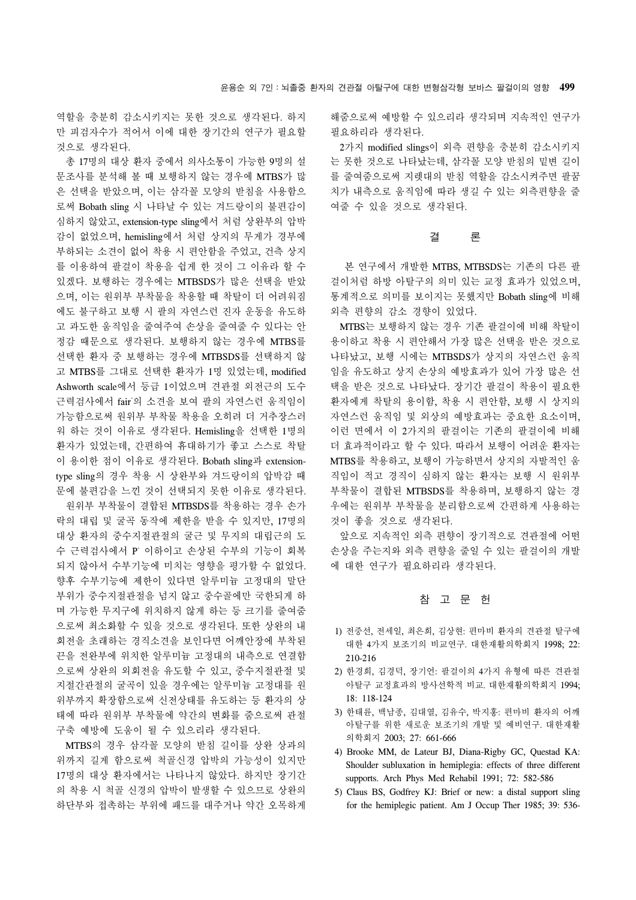역할을 충분히 감소시키지는 못한 것으로 생각된다. 하지 만 피검자수가 적어서 이에 대한 장기간의 연구가 필요할 것으로 생각된다.

 총 17명의 대상 환자 중에서 의사소통이 가능한 9명의 설 문조사를 분석해 볼 때 보행하지 않는 경우에 MTBS가 많 은 선택을 받았으며, 이는 삼각꼴 모양의 받침을 사용함으 로써 Bobath sling 시 나타날 수 있는 겨드랑이의 불편감이 심하지 않았고, extension-type sling에서 처럼 상완부의 압박 감이 없었으며, hemisling에서 처럼 상지의 무게가 경부에 부하되는 소견이 없어 착용 시 편안함을 주었고, 건측 상지 를 이용하여 팔걸이 착용을 쉽게 한 것이 그 이유라 할 수 있겠다. 보행하는 경우에는 MTBSDS가 많은 선택을 받았 으며, 이는 원위부 부착물을 착용할 때 착탈이 더 어려워짐 에도 불구하고 보행 시 팔의 자연스런 진자 운동을 유도하 고 과도한 움직임을 줄여주여 손상을 줄여줄 수 있다는 안 정감 때문으로 생각된다. 보행하지 않는 경우에 MTBS를 선택한 환자 중 보행하는 경우에 MTBSDS를 선택하지 않 고 MTBS를 그대로 선택한 환자가 1명 있었는데, modified Ashworth scale에서 등급 1이었으며 견관절 외전근의 도수 근력검사에서 fair의 소견을 보여 팔의 자연스런 움직임이 가능함으로써 원위부 부착물 착용을 오히려 더 거추장스러 워 하는 것이 이유로 생각된다. Hemisling을 선택한 1명의 환자가 있었는데, 간편하여 휴대하기가 좋고 스스로 착탈 이 용이한 점이 이유로 생각된다. Bobath sling과 extensiontype sling의 경우 착용 시 상완부와 겨드랑이의 압박감 때 문에 불편감을 느낀 것이 선택되지 못한 이유로 생각된다.

 원위부 부착물이 결합된 MTBSDS를 착용하는 경우 손가 락의 대립 및 굴곡 동작에 제한을 받을 수 있지만, 17명의 대상 환자의 중수지절관절의 굴근 및 무지의 대립근의 도 수 근력검사에서 P- 이하이고 손상된 수부의 기능이 회복 되지 않아서 수부기능에 미치는 영향을 평가할 수 없었다. 향후 수부기능에 제한이 있다면 알루미늄 고정대의 말단 부위가 중수지절관절을 넘지 않고 중수골에만 국한되게 하 며 가능한 무지구에 위치하지 않게 하는 등 크기를 줄여줌 으로써 최소화할 수 있을 것으로 생각된다. 또한 상완의 내 회전을 초래하는 경직소견을 보인다면 어깨안장에 부착된 끈을 전완부에 위치한 알루미늄 고정대의 내측으로 연결함 으로써 상완의 외회전을 유도할 수 있고, 중수지절관절 및 지절간관절의 굴곡이 있을 경우에는 알루미늄 고정대를 원 위부까지 확장함으로써 신전상태를 유도하는 등 환자의 상 태에 따라 원위부 부착물에 약간의 변화를 줌으로써 관절 구축 예방에 도움이 될 수 있으리라 생각된다.

 MTBS의 경우 삼각꼴 모양의 받침 길이를 상완 상과의 위까지 길게 함으로써 척골신경 압박의 가능성이 있지만 17명의 대상 환자에서는 나타나지 않았다. 하지만 장기간 의 착용 시 척골 신경의 압박이 발생할 수 있으므로 상완의 하단부와 접촉하는 부위에 패드를 대주거나 약간 오목하게

해줌으로써 예방할 수 있으리라 생각되며 지속적인 연구가 필요하리라 생각된다.

 2가지 modified slings이 외측 편향을 충분히 감소시키지 는 못한 것으로 나타났는데, 삼각꼴 모양 받침의 밑변 길이 를 줄여줌으로써 지렛대의 받침 역할을 감소시켜주면 팔꿈 치가 내측으로 움직임에 따라 생길 수 있는 외측편향을 줄 여줄 수 있을 것으로 생각된다.

## 결 론

 본 연구에서 개발한 MTBS, MTBSDS는 기존의 다른 팔 걸이처럼 하방 아탈구의 의미 있는 교정 효과가 있었으며, 통계적으로 의미를 보이지는 못했지만 Bobath sling에 비해 외측 편향의 감소 경향이 있었다.

 MTBS는 보행하지 않는 경우 기존 팔걸이에 비해 착탈이 용이하고 착용 시 편안해서 가장 많은 선택을 받은 것으로 나타났고, 보행 시에는 MTBSDS가 상지의 자연스런 움직 임을 유도하고 상지 손상의 예방효과가 있어 가장 많은 선 택을 받은 것으로 나타났다. 장기간 팔걸이 착용이 필요한 환자에게 착탈의 용이함, 착용 시 편안함, 보행 시 상지의 자연스런 움직임 및 외상의 예방효과는 중요한 요소이며, 이런 면에서 이 2가지의 팔걸이는 기존의 팔걸이에 비해 더 효과적이라고 할 수 있다. 따라서 보행이 어려운 환자는 MTBS를 착용하고, 보행이 가능하면서 상지의 자발적인 움 직임이 적고 경직이 심하지 않는 환자는 보행 시 원위부 부착물이 결합된 MTBSDS를 착용하며, 보행하지 않는 경 우에는 원위부 부착물을 분리함으로써 간편하게 사용하는 것이 좋을 것으로 생각된다.

 앞으로 지속적인 외측 편향이 장기적으로 견관절에 어떤 손상을 주는지와 외측 편향을 줄일 수 있는 팔걸이의 개발 에 대한 연구가 필요하리라 생각된다.

## 참 고 문 헌

- 1) 전중선, 전세일, 최은희, 김상현: 편마비 환자의 견관절 탈구에 대한 4가지 보조기의 비교연구. 대한재활의학회지 1998; 22: 210-216
- 2) 한경희, 김경덕, 장기언: 팔걸이의 4가지 유형에 따른 견관절 아탈구 교정효과의 방사선학적 비교. 대한재활의학회지 1994; 18: 118-124
- 3) 한태륜, 백남종, 김대열, 김유수, 박지홍: 편마비 환자의 어깨 아탈구를 위한 새로운 보조기의 개발 및 예비연구. 대한재활 의학회지 2003; 27: 661-666
- 4) Brooke MM, de Lateur BJ, Diana-Rigby GC, Questad KA: Shoulder subluxation in hemiplegia: effects of three different supports. Arch Phys Med Rehabil 1991; 72: 582-586
- 5) Claus BS, Godfrey KJ: Brief or new: a distal support sling for the hemiplegic patient. Am J Occup Ther 1985; 39: 536-